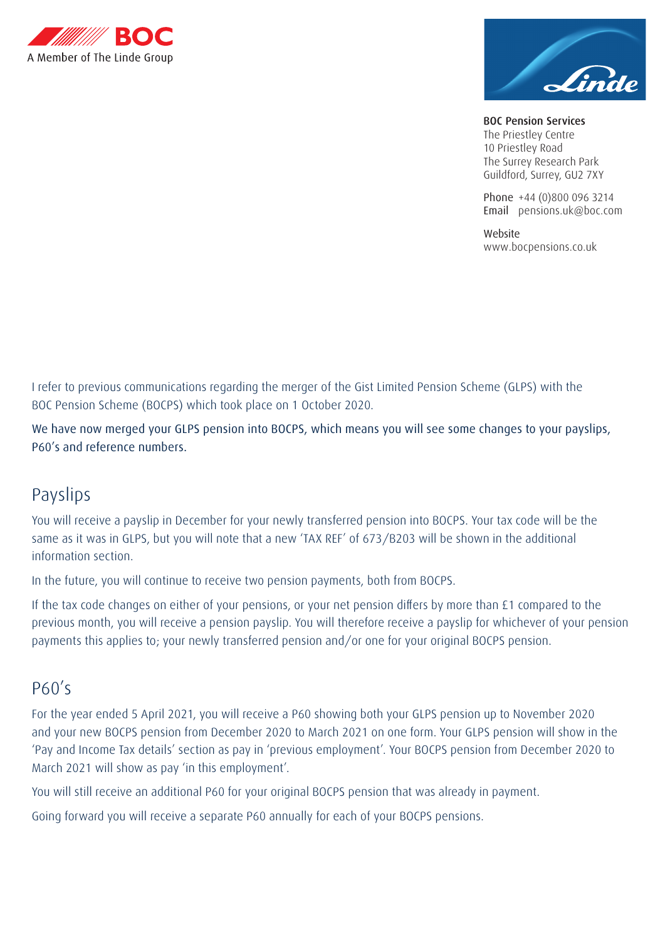



BOC Pension Services The Priestley Centre 10 Priestley Road The Surrey Research Park Guildford, Surrey, GU2 7XY

Phone +44 (0)800 096 3214 Email pensions.uk@boc.com

Website www.bocpensions.co.uk

I refer to previous communications regarding the merger of the Gist Limited Pension Scheme (GLPS) with the BOC Pension Scheme (BOCPS) which took place on 1 October 2020.

We have now merged your GLPS pension into BOCPS, which means you will see some changes to your payslips, P60's and reference numbers.

## Payslips

You will receive a payslip in December for your newly transferred pension into BOCPS. Your tax code will be the same as it was in GLPS, but you will note that a new 'TAX REF' of 673/B203 will be shown in the additional information section.

In the future, you will continue to receive two pension payments, both from BOCPS.

If the tax code changes on either of your pensions, or your net pension differs by more than £1 compared to the previous month, you will receive a pension payslip. You will therefore receive a payslip for whichever of your pension payments this applies to; your newly transferred pension and/or one for your original BOCPS pension.

## P60's

For the year ended 5 April 2021, you will receive a P60 showing both your GLPS pension up to November 2020 and your new BOCPS pension from December 2020 to March 2021 on one form. Your GLPS pension will show in the 'Pay and Income Tax details' section as pay in 'previous employment'. Your BOCPS pension from December 2020 to March 2021 will show as pay 'in this employment'.

You will still receive an additional P60 for your original BOCPS pension that was already in payment.

Going forward you will receive a separate P60 annually for each of your BOCPS pensions.